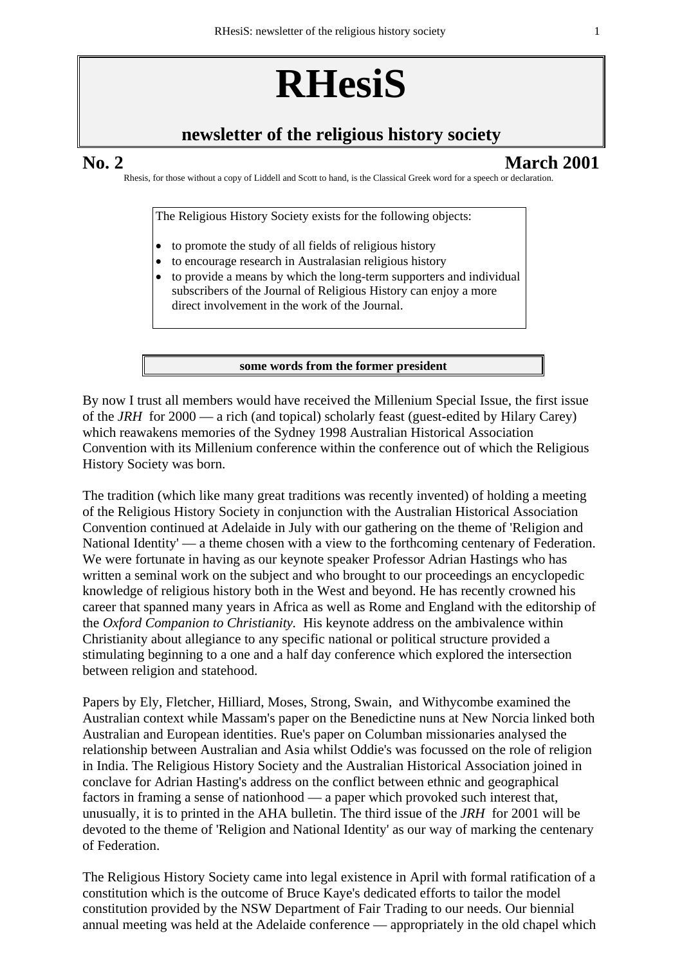# **RHesiS**

# **newsletter of the religious history society**

# **No. 2 March 2001**

Rhesis, for those without a copy of Liddell and Scott to hand, is the Classical Greek word for a speech or declaration.

The Religious History Society exists for the following objects:

- to promote the study of all fields of religious history
- to encourage research in Australasian religious history
- to provide a means by which the long-term supporters and individual subscribers of the Journal of Religious History can enjoy a more direct involvement in the work of the Journal.

**some words from the former president**

By now I trust all members would have received the Millenium Special Issue, the first issue of the *JRH* for 2000 — a rich (and topical) scholarly feast (guest-edited by Hilary Carey) which reawakens memories of the Sydney 1998 Australian Historical Association Convention with its Millenium conference within the conference out of which the Religious History Society was born.

The tradition (which like many great traditions was recently invented) of holding a meeting of the Religious History Society in conjunction with the Australian Historical Association Convention continued at Adelaide in July with our gathering on the theme of 'Religion and National Identity' — a theme chosen with a view to the forthcoming centenary of Federation. We were fortunate in having as our keynote speaker Professor Adrian Hastings who has written a seminal work on the subject and who brought to our proceedings an encyclopedic knowledge of religious history both in the West and beyond. He has recently crowned his career that spanned many years in Africa as well as Rome and England with the editorship of the *Oxford Companion to Christianity.* His keynote address on the ambivalence within Christianity about allegiance to any specific national or political structure provided a stimulating beginning to a one and a half day conference which explored the intersection between religion and statehood.

Papers by Ely, Fletcher, Hilliard, Moses, Strong, Swain, and Withycombe examined the Australian context while Massam's paper on the Benedictine nuns at New Norcia linked both Australian and European identities. Rue's paper on Columban missionaries analysed the relationship between Australian and Asia whilst Oddie's was focussed on the role of religion in India. The Religious History Society and the Australian Historical Association joined in conclave for Adrian Hasting's address on the conflict between ethnic and geographical factors in framing a sense of nationhood — a paper which provoked such interest that, unusually, it is to printed in the AHA bulletin. The third issue of the *JRH* for 2001 will be devoted to the theme of 'Religion and National Identity' as our way of marking the centenary of Federation.

The Religious History Society came into legal existence in April with formal ratification of a constitution which is the outcome of Bruce Kaye's dedicated efforts to tailor the model constitution provided by the NSW Department of Fair Trading to our needs. Our biennial annual meeting was held at the Adelaide conference — appropriately in the old chapel which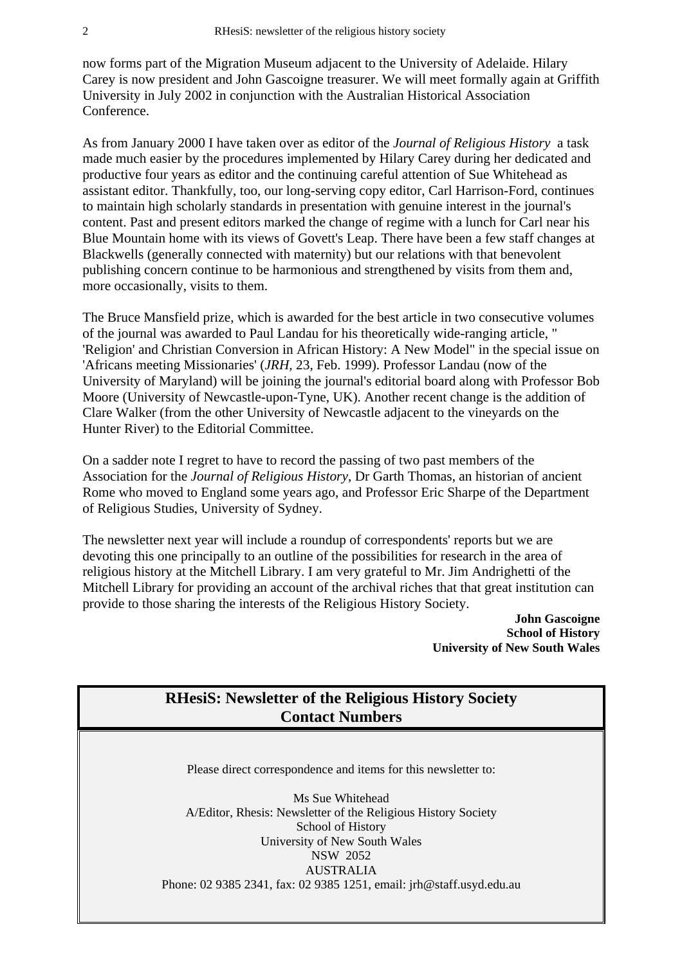now forms part of the Migration Museum adjacent to the University of Adelaide. Hilary Carey is now president and John Gascoigne treasurer. We will meet formally again at Griffith University in July 2002 in conjunction with the Australian Historical Association Conference.

As from January 2000 I have taken over as editor of the *Journal of Religious History* a task made much easier by the procedures implemented by Hilary Carey during her dedicated and productive four years as editor and the continuing careful attention of Sue Whitehead as assistant editor. Thankfully, too, our long-serving copy editor, Carl Harrison-Ford, continues to maintain high scholarly standards in presentation with genuine interest in the journal's content. Past and present editors marked the change of regime with a lunch for Carl near his Blue Mountain home with its views of Govett's Leap. There have been a few staff changes at Blackwells (generally connected with maternity) but our relations with that benevolent publishing concern continue to be harmonious and strengthened by visits from them and, more occasionally, visits to them.

The Bruce Mansfield prize, which is awarded for the best article in two consecutive volumes of the journal was awarded to Paul Landau for his theoretically wide-ranging article, " 'Religion' and Christian Conversion in African History: A New Model" in the special issue on 'Africans meeting Missionaries' (*JRH,* 23, Feb. 1999). Professor Landau (now of the University of Maryland) will be joining the journal's editorial board along with Professor Bob Moore (University of Newcastle-upon-Tyne, UK). Another recent change is the addition of Clare Walker (from the other University of Newcastle adjacent to the vineyards on the Hunter River) to the Editorial Committee.

On a sadder note I regret to have to record the passing of two past members of the Association for the *Journal of Religious History*, Dr Garth Thomas, an historian of ancient Rome who moved to England some years ago, and Professor Eric Sharpe of the Department of Religious Studies, University of Sydney.

The newsletter next year will include a roundup of correspondents' reports but we are devoting this one principally to an outline of the possibilities for research in the area of religious history at the Mitchell Library. I am very grateful to Mr. Jim Andrighetti of the Mitchell Library for providing an account of the archival riches that that great institution can provide to those sharing the interests of the Religious History Society.

> **John Gascoigne School of History University of New South Wales**

# **RHesiS: Newsletter of the Religious History Society Contact Numbers**

Please direct correspondence and items for this newsletter to:

Ms Sue Whitehead A/Editor, Rhesis: Newsletter of the Religious History Society School of History University of New South Wales NSW 2052 AUSTRALIA Phone: 02 9385 2341, fax: 02 9385 1251, email: jrh@staff.usyd.edu.au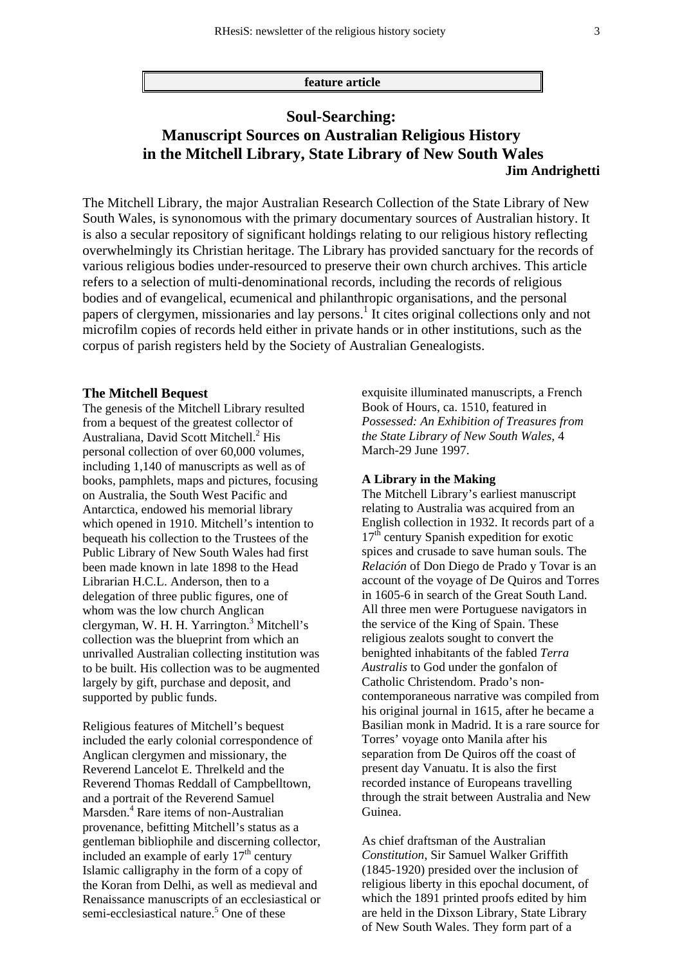**feature article**

# **Soul-Searching: Manuscript Sources on Australian Religious History in the Mitchell Library, State Library of New South Wales Jim Andrighetti**

The Mitchell Library, the major Australian Research Collection of the State Library of New South Wales, is synonomous with the primary documentary sources of Australian history. It is also a secular repository of significant holdings relating to our religious history reflecting overwhelmingly its Christian heritage. The Library has provided sanctuary for the records of various religious bodies under-resourced to preserve their own church archives. This article refers to a selection of multi-denominational records, including the records of religious bodies and of evangelical, ecumenical and philanthropic organisations, and the personal papers of clergymen, missionaries and lay persons.<sup>1</sup> It cites original collections only and not microfilm copies of records held either in private hands or in other institutions, such as the corpus of parish registers held by the Society of Australian Genealogists.

#### **The Mitchell Bequest**

The genesis of the Mitchell Library resulted from a bequest of the greatest collector of Australiana, David Scott Mitchell.<sup>2</sup> His personal collection of over 60,000 volumes, including 1,140 of manuscripts as well as of books, pamphlets, maps and pictures, focusing on Australia, the South West Pacific and Antarctica, endowed his memorial library which opened in 1910. Mitchell's intention to bequeath his collection to the Trustees of the Public Library of New South Wales had first been made known in late 1898 to the Head Librarian H.C.L. Anderson, then to a delegation of three public figures, one of whom was the low church Anglican clergyman, W. H. H. Yarrington.<sup>3</sup> Mitchell's collection was the blueprint from which an unrivalled Australian collecting institution was to be built. His collection was to be augmented largely by gift, purchase and deposit, and supported by public funds.

Religious features of Mitchell's bequest included the early colonial correspondence of Anglican clergymen and missionary, the Reverend Lancelot E. Threlkeld and the Reverend Thomas Reddall of Campbelltown, and a portrait of the Reverend Samuel Marsden.<sup>4</sup> Rare items of non-Australian provenance, befitting Mitchell's status as a gentleman bibliophile and discerning collector, included an example of early  $17<sup>th</sup>$  century Islamic calligraphy in the form of a copy of the Koran from Delhi, as well as medieval and Renaissance manuscripts of an ecclesiastical or semi-ecclesiastical nature.<sup>5</sup> One of these

exquisite illuminated manuscripts, a French Book of Hours, ca. 1510, featured in *Possessed: An Exhibition of Treasures from the State Library of New South Wales,* 4 March-29 June 1997.

### **A Library in the Making**

The Mitchell Library's earliest manuscript relating to Australia was acquired from an English collection in 1932. It records part of a  $17<sup>th</sup>$  century Spanish expedition for exotic spices and crusade to save human souls. The *Relación* of Don Diego de Prado y Tovar is an account of the voyage of De Quiros and Torres in 1605-6 in search of the Great South Land. All three men were Portuguese navigators in the service of the King of Spain. These religious zealots sought to convert the benighted inhabitants of the fabled *Terra Australis* to God under the gonfalon of Catholic Christendom. Prado's noncontemporaneous narrative was compiled from his original journal in 1615, after he became a Basilian monk in Madrid. It is a rare source for Torres' voyage onto Manila after his separation from De Quiros off the coast of present day Vanuatu. It is also the first recorded instance of Europeans travelling through the strait between Australia and New Guinea.

As chief draftsman of the Australian *Constitution*, Sir Samuel Walker Griffith (1845-1920) presided over the inclusion of religious liberty in this epochal document, of which the 1891 printed proofs edited by him are held in the Dixson Library, State Library of New South Wales. They form part of a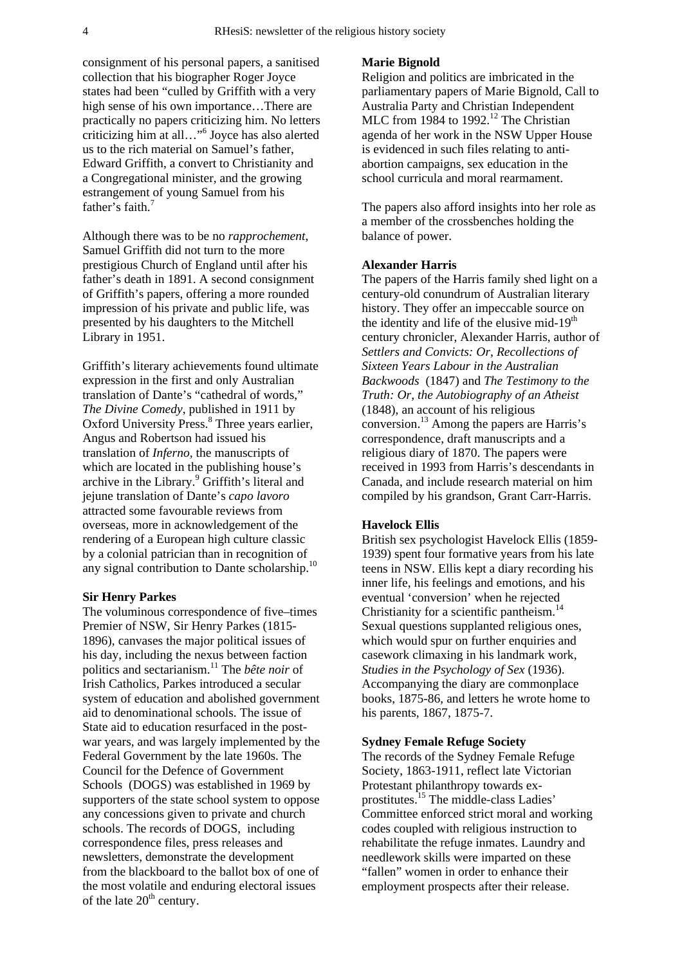consignment of his personal papers, a sanitised collection that his biographer Roger Joyce states had been "culled by Griffith with a very high sense of his own importance…There are practically no papers criticizing him. No letters criticizing him at all…"6 Joyce has also alerted us to the rich material on Samuel's father, Edward Griffith, a convert to Christianity and a Congregational minister, and the growing estrangement of young Samuel from his father's faith. $7$ 

Although there was to be no *rapprochement*, Samuel Griffith did not turn to the more prestigious Church of England until after his father's death in 1891. A second consignment of Griffith's papers, offering a more rounded impression of his private and public life, was presented by his daughters to the Mitchell Library in 1951.

Griffith's literary achievements found ultimate expression in the first and only Australian translation of Dante's "cathedral of words," *The Divine Comedy*, published in 1911 by Oxford University Press.<sup>8</sup> Three years earlier, Angus and Robertson had issued his translation of *Inferno,* the manuscripts of which are located in the publishing house's archive in the Library.<sup>9</sup> Griffith's literal and jejune translation of Dante's *capo lavoro*  attracted some favourable reviews from overseas, more in acknowledgement of the rendering of a European high culture classic by a colonial patrician than in recognition of any signal contribution to Dante scholarship.<sup>10</sup>

#### **Sir Henry Parkes**

The voluminous correspondence of five–times Premier of NSW, Sir Henry Parkes (1815- 1896), canvases the major political issues of his day, including the nexus between faction politics and sectarianism.11 The *bête noir* of Irish Catholics, Parkes introduced a secular system of education and abolished government aid to denominational schools. The issue of State aid to education resurfaced in the postwar years, and was largely implemented by the Federal Government by the late 1960s. The Council for the Defence of Government Schools (DOGS) was established in 1969 by supporters of the state school system to oppose any concessions given to private and church schools. The records of DOGS, including correspondence files, press releases and newsletters, demonstrate the development from the blackboard to the ballot box of one of the most volatile and enduring electoral issues of the late  $20<sup>th</sup>$  century.

#### **Marie Bignold**

Religion and politics are imbricated in the parliamentary papers of Marie Bignold, Call to Australia Party and Christian Independent MLC from 1984 to 1992.<sup>12</sup> The Christian agenda of her work in the NSW Upper House is evidenced in such files relating to antiabortion campaigns, sex education in the school curricula and moral rearmament.

The papers also afford insights into her role as a member of the crossbenches holding the balance of power.

#### **Alexander Harris**

The papers of the Harris family shed light on a century-old conundrum of Australian literary history. They offer an impeccable source on the identity and life of the elusive mid- $19<sup>th</sup>$ century chronicler, Alexander Harris, author of *Settlers and Convicts: Or, Recollections of Sixteen Years Labour in the Australian Backwoods* (1847) and *The Testimony to the Truth: Or, the Autobiography of an Atheist*  (1848), an account of his religious conversion.13 Among the papers are Harris's correspondence, draft manuscripts and a religious diary of 1870. The papers were received in 1993 from Harris's descendants in Canada, and include research material on him compiled by his grandson, Grant Carr-Harris.

## **Havelock Ellis**

British sex psychologist Havelock Ellis (1859- 1939) spent four formative years from his late teens in NSW. Ellis kept a diary recording his inner life, his feelings and emotions, and his eventual 'conversion' when he rejected Christianity for a scientific pantheism.<sup>14</sup> Sexual questions supplanted religious ones, which would spur on further enquiries and casework climaxing in his landmark work, *Studies in the Psychology of Sex* (1936). Accompanying the diary are commonplace books, 1875-86, and letters he wrote home to his parents, 1867, 1875-7.

#### **Sydney Female Refuge Society**

The records of the Sydney Female Refuge Society, 1863-1911, reflect late Victorian Protestant philanthropy towards exprostitutes.15 The middle-class Ladies' Committee enforced strict moral and working codes coupled with religious instruction to rehabilitate the refuge inmates. Laundry and needlework skills were imparted on these "fallen" women in order to enhance their employment prospects after their release.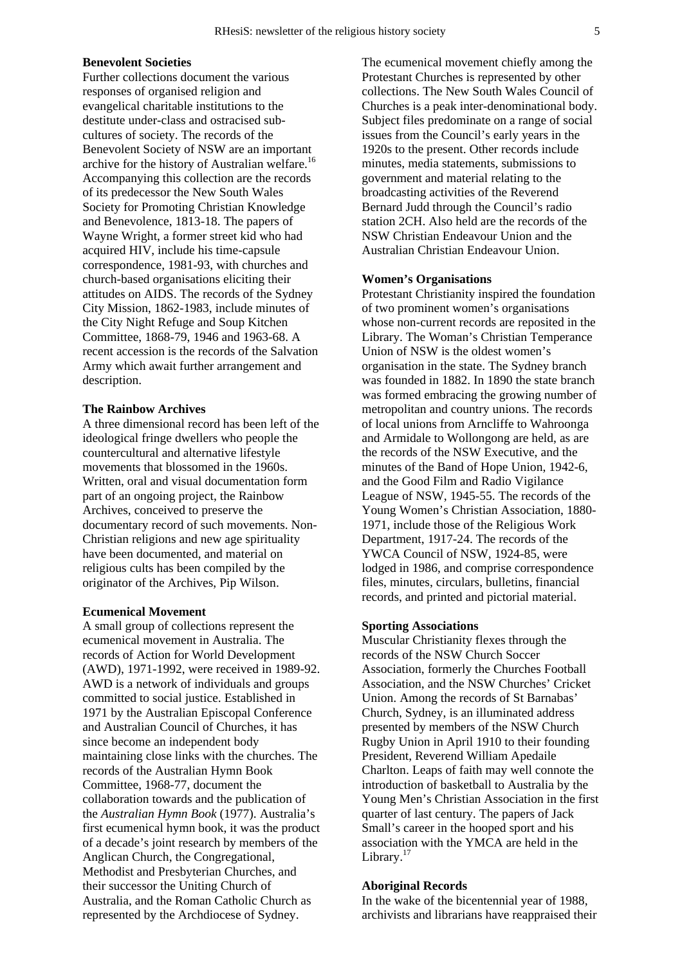## **Benevolent Societies**

Further collections document the various responses of organised religion and evangelical charitable institutions to the destitute under-class and ostracised subcultures of society. The records of the Benevolent Society of NSW are an important archive for the history of Australian welfare.<sup>16</sup> Accompanying this collection are the records of its predecessor the New South Wales Society for Promoting Christian Knowledge and Benevolence, 1813-18. The papers of Wayne Wright, a former street kid who had acquired HIV, include his time-capsule correspondence, 1981-93, with churches and church-based organisations eliciting their attitudes on AIDS. The records of the Sydney City Mission, 1862-1983, include minutes of the City Night Refuge and Soup Kitchen Committee, 1868-79, 1946 and 1963-68. A recent accession is the records of the Salvation Army which await further arrangement and description.

#### **The Rainbow Archives**

A three dimensional record has been left of the ideological fringe dwellers who people the countercultural and alternative lifestyle movements that blossomed in the 1960s. Written, oral and visual documentation form part of an ongoing project, the Rainbow Archives, conceived to preserve the documentary record of such movements. Non-Christian religions and new age spirituality have been documented, and material on religious cults has been compiled by the originator of the Archives, Pip Wilson.

## **Ecumenical Movement**

A small group of collections represent the ecumenical movement in Australia. The records of Action for World Development (AWD), 1971-1992, were received in 1989-92. AWD is a network of individuals and groups committed to social justice. Established in 1971 by the Australian Episcopal Conference and Australian Council of Churches, it has since become an independent body maintaining close links with the churches. The records of the Australian Hymn Book Committee, 1968-77, document the collaboration towards and the publication of the *Australian Hymn Book* (1977). Australia's first ecumenical hymn book, it was the product of a decade's joint research by members of the Anglican Church, the Congregational, Methodist and Presbyterian Churches, and their successor the Uniting Church of Australia, and the Roman Catholic Church as represented by the Archdiocese of Sydney.

The ecumenical movement chiefly among the Protestant Churches is represented by other collections. The New South Wales Council of Churches is a peak inter-denominational body. Subject files predominate on a range of social issues from the Council's early years in the 1920s to the present. Other records include minutes, media statements, submissions to government and material relating to the broadcasting activities of the Reverend Bernard Judd through the Council's radio station 2CH. Also held are the records of the NSW Christian Endeavour Union and the Australian Christian Endeavour Union.

#### **Women's Organisations**

Protestant Christianity inspired the foundation of two prominent women's organisations whose non-current records are reposited in the Library. The Woman's Christian Temperance Union of NSW is the oldest women's organisation in the state. The Sydney branch was founded in 1882. In 1890 the state branch was formed embracing the growing number of metropolitan and country unions. The records of local unions from Arncliffe to Wahroonga and Armidale to Wollongong are held, as are the records of the NSW Executive, and the minutes of the Band of Hope Union, 1942-6, and the Good Film and Radio Vigilance League of NSW, 1945-55. The records of the Young Women's Christian Association, 1880- 1971, include those of the Religious Work Department, 1917-24. The records of the YWCA Council of NSW, 1924-85, were lodged in 1986, and comprise correspondence files, minutes, circulars, bulletins, financial records, and printed and pictorial material.

#### **Sporting Associations**

Muscular Christianity flexes through the records of the NSW Church Soccer Association, formerly the Churches Football Association, and the NSW Churches' Cricket Union. Among the records of St Barnabas' Church, Sydney, is an illuminated address presented by members of the NSW Church Rugby Union in April 1910 to their founding President, Reverend William Apedaile Charlton. Leaps of faith may well connote the introduction of basketball to Australia by the Young Men's Christian Association in the first quarter of last century. The papers of Jack Small's career in the hooped sport and his association with the YMCA are held in the Library. $17$ 

## **Aboriginal Records**

In the wake of the bicentennial year of 1988, archivists and librarians have reappraised their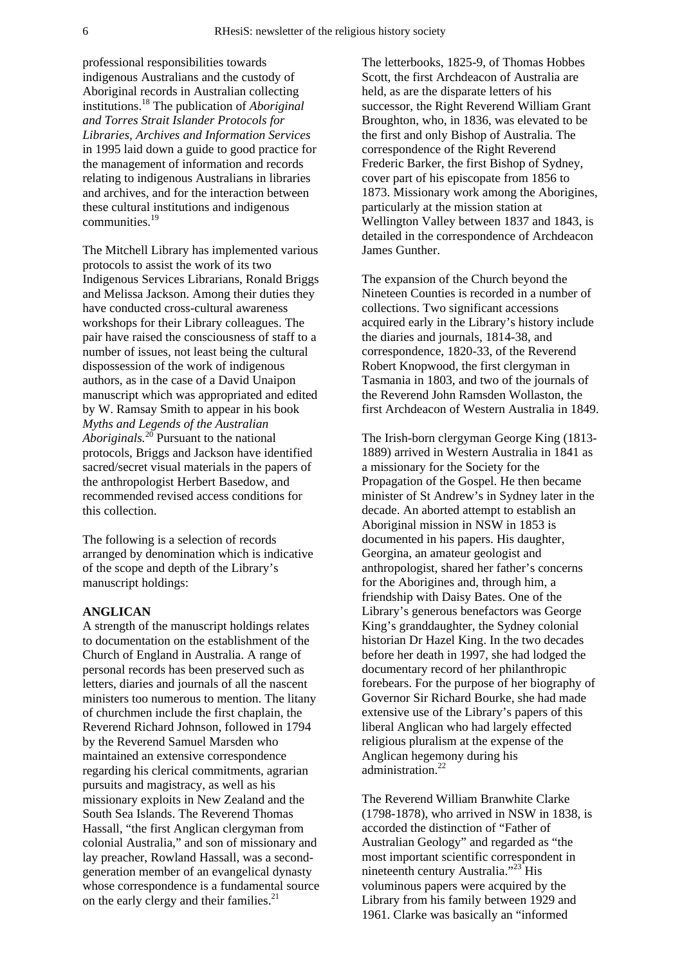professional responsibilities towards indigenous Australians and the custody of Aboriginal records in Australian collecting institutions.18 The publication of *Aboriginal and Torres Strait Islander Protocols for Libraries, Archives and Information Services* in 1995 laid down a guide to good practice for the management of information and records relating to indigenous Australians in libraries and archives, and for the interaction between these cultural institutions and indigenous communities.19

The Mitchell Library has implemented various protocols to assist the work of its two Indigenous Services Librarians, Ronald Briggs and Melissa Jackson. Among their duties they have conducted cross-cultural awareness workshops for their Library colleagues. The pair have raised the consciousness of staff to a number of issues, not least being the cultural dispossession of the work of indigenous authors, as in the case of a David Unaipon manuscript which was appropriated and edited by W. Ramsay Smith to appear in his book *Myths and Legends of the Australian Aboriginals.*20 Pursuant to the national protocols, Briggs and Jackson have identified sacred/secret visual materials in the papers of the anthropologist Herbert Basedow, and recommended revised access conditions for this collection.

The following is a selection of records arranged by denomination which is indicative of the scope and depth of the Library's manuscript holdings:

## **ANGLICAN**

A strength of the manuscript holdings relates to documentation on the establishment of the Church of England in Australia. A range of personal records has been preserved such as letters, diaries and journals of all the nascent ministers too numerous to mention. The litany of churchmen include the first chaplain, the Reverend Richard Johnson, followed in 1794 by the Reverend Samuel Marsden who maintained an extensive correspondence regarding his clerical commitments, agrarian pursuits and magistracy, as well as his missionary exploits in New Zealand and the South Sea Islands. The Reverend Thomas Hassall, "the first Anglican clergyman from colonial Australia," and son of missionary and lay preacher, Rowland Hassall, was a secondgeneration member of an evangelical dynasty whose correspondence is a fundamental source on the early clergy and their families.<sup>21</sup>

The letterbooks, 1825-9, of Thomas Hobbes Scott, the first Archdeacon of Australia are held, as are the disparate letters of his successor, the Right Reverend William Grant Broughton, who, in 1836, was elevated to be the first and only Bishop of Australia. The correspondence of the Right Reverend Frederic Barker, the first Bishop of Sydney, cover part of his episcopate from 1856 to 1873. Missionary work among the Aborigines, particularly at the mission station at Wellington Valley between 1837 and 1843, is detailed in the correspondence of Archdeacon James Gunther.

The expansion of the Church beyond the Nineteen Counties is recorded in a number of collections. Two significant accessions acquired early in the Library's history include the diaries and journals, 1814-38, and correspondence, 1820-33, of the Reverend Robert Knopwood, the first clergyman in Tasmania in 1803, and two of the journals of the Reverend John Ramsden Wollaston, the first Archdeacon of Western Australia in 1849.

The Irish-born clergyman George King (1813- 1889) arrived in Western Australia in 1841 as a missionary for the Society for the Propagation of the Gospel. He then became minister of St Andrew's in Sydney later in the decade. An aborted attempt to establish an Aboriginal mission in NSW in 1853 is documented in his papers. His daughter, Georgina, an amateur geologist and anthropologist, shared her father's concerns for the Aborigines and, through him, a friendship with Daisy Bates. One of the Library's generous benefactors was George King's granddaughter, the Sydney colonial historian Dr Hazel King. In the two decades before her death in 1997, she had lodged the documentary record of her philanthropic forebears. For the purpose of her biography of Governor Sir Richard Bourke, she had made extensive use of the Library's papers of this liberal Anglican who had largely effected religious pluralism at the expense of the Anglican hegemony during his administration<sup>22</sup>

The Reverend William Branwhite Clarke (1798-1878), who arrived in NSW in 1838, is accorded the distinction of "Father of Australian Geology" and regarded as "the most important scientific correspondent in nineteenth century Australia."<sup>23</sup> His voluminous papers were acquired by the Library from his family between 1929 and 1961. Clarke was basically an "informed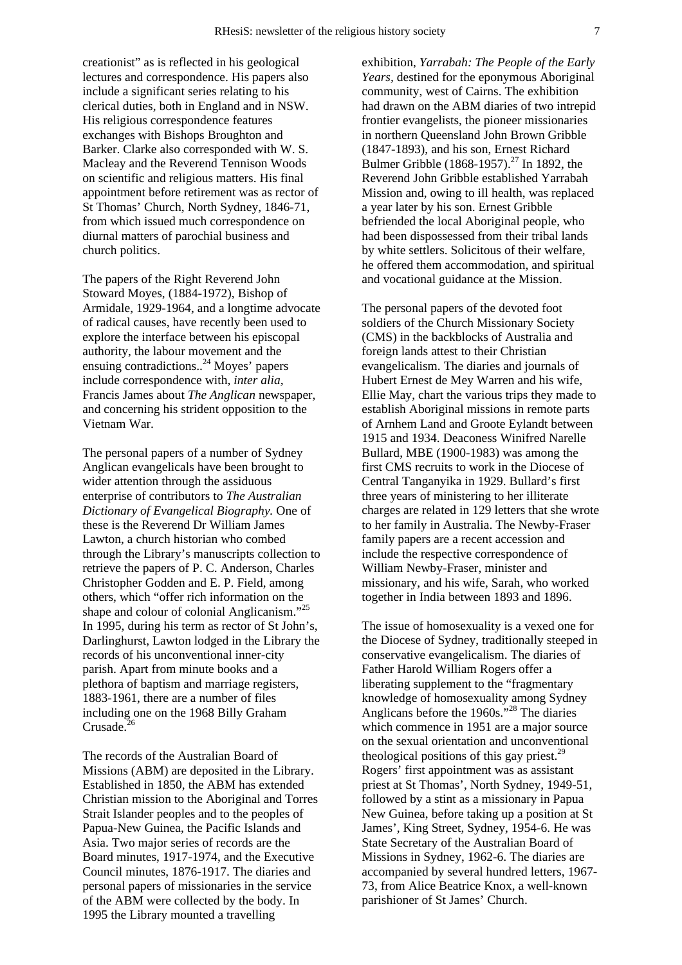creationist" as is reflected in his geological lectures and correspondence. His papers also include a significant series relating to his clerical duties, both in England and in NSW. His religious correspondence features exchanges with Bishops Broughton and Barker. Clarke also corresponded with W. S. Macleay and the Reverend Tennison Woods on scientific and religious matters. His final appointment before retirement was as rector of St Thomas' Church, North Sydney, 1846-71, from which issued much correspondence on diurnal matters of parochial business and church politics.

The papers of the Right Reverend John Stoward Moyes, (1884-1972), Bishop of Armidale, 1929-1964, and a longtime advocate of radical causes, have recently been used to explore the interface between his episcopal authority, the labour movement and the ensuing contradictions..24 Moyes' papers include correspondence with, *inter alia,*  Francis James about *The Anglican* newspaper, and concerning his strident opposition to the Vietnam War.

The personal papers of a number of Sydney Anglican evangelicals have been brought to wider attention through the assiduous enterprise of contributors to *The Australian Dictionary of Evangelical Biography.* One of these is the Reverend Dr William James Lawton, a church historian who combed through the Library's manuscripts collection to retrieve the papers of P. C. Anderson, Charles Christopher Godden and E. P. Field, among others, which "offer rich information on the shape and colour of colonial Anglicanism."<sup>25</sup> In 1995, during his term as rector of St John's, Darlinghurst, Lawton lodged in the Library the records of his unconventional inner-city parish. Apart from minute books and a plethora of baptism and marriage registers, 1883-1961, there are a number of files including one on the 1968 Billy Graham Crusade.<sup>26</sup>

The records of the Australian Board of Missions (ABM) are deposited in the Library. Established in 1850, the ABM has extended Christian mission to the Aboriginal and Torres Strait Islander peoples and to the peoples of Papua-New Guinea, the Pacific Islands and Asia. Two major series of records are the Board minutes, 1917-1974, and the Executive Council minutes, 1876-1917. The diaries and personal papers of missionaries in the service of the ABM were collected by the body. In 1995 the Library mounted a travelling

exhibition, *Yarrabah: The People of the Early Years,* destined for the eponymous Aboriginal community, west of Cairns. The exhibition had drawn on the ABM diaries of two intrepid frontier evangelists, the pioneer missionaries in northern Queensland John Brown Gribble (1847-1893), and his son, Ernest Richard Bulmer Gribble (1868-1957).<sup>27</sup> In 1892, the Reverend John Gribble established Yarrabah Mission and, owing to ill health, was replaced a year later by his son. Ernest Gribble befriended the local Aboriginal people, who had been dispossessed from their tribal lands by white settlers. Solicitous of their welfare, he offered them accommodation, and spiritual and vocational guidance at the Mission.

The personal papers of the devoted foot soldiers of the Church Missionary Society (CMS) in the backblocks of Australia and foreign lands attest to their Christian evangelicalism. The diaries and journals of Hubert Ernest de Mey Warren and his wife, Ellie May, chart the various trips they made to establish Aboriginal missions in remote parts of Arnhem Land and Groote Eylandt between 1915 and 1934. Deaconess Winifred Narelle Bullard, MBE (1900-1983) was among the first CMS recruits to work in the Diocese of Central Tanganyika in 1929. Bullard's first three years of ministering to her illiterate charges are related in 129 letters that she wrote to her family in Australia. The Newby-Fraser family papers are a recent accession and include the respective correspondence of William Newby-Fraser, minister and missionary, and his wife, Sarah, who worked together in India between 1893 and 1896.

The issue of homosexuality is a vexed one for the Diocese of Sydney, traditionally steeped in conservative evangelicalism. The diaries of Father Harold William Rogers offer a liberating supplement to the "fragmentary knowledge of homosexuality among Sydney Anglicans before the 1960s."<sup>28</sup> The diaries which commence in 1951 are a major source on the sexual orientation and unconventional theological positions of this gay priest.<sup>29</sup> Rogers' first appointment was as assistant priest at St Thomas', North Sydney, 1949-51, followed by a stint as a missionary in Papua New Guinea, before taking up a position at St James', King Street, Sydney, 1954-6. He was State Secretary of the Australian Board of Missions in Sydney, 1962-6. The diaries are accompanied by several hundred letters, 1967- 73, from Alice Beatrice Knox, a well-known parishioner of St James' Church.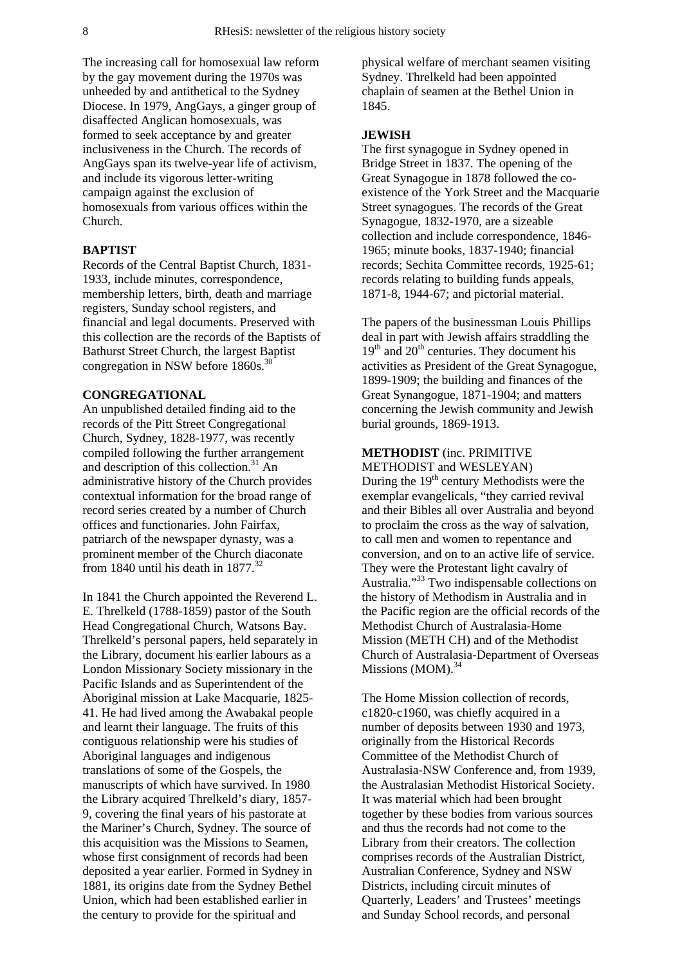The increasing call for homosexual law reform by the gay movement during the 1970s was unheeded by and antithetical to the Sydney Diocese. In 1979, AngGays, a ginger group of disaffected Anglican homosexuals, was formed to seek acceptance by and greater inclusiveness in the Church. The records of AngGays span its twelve-year life of activism, and include its vigorous letter-writing campaign against the exclusion of homosexuals from various offices within the Church.

## **BAPTIST**

Records of the Central Baptist Church, 1831- 1933, include minutes, correspondence, membership letters, birth, death and marriage registers, Sunday school registers, and financial and legal documents. Preserved with this collection are the records of the Baptists of Bathurst Street Church, the largest Baptist congregation in NSW before 1860s.<sup>30</sup>

#### **CONGREGATIONAL**

An unpublished detailed finding aid to the records of the Pitt Street Congregational Church, Sydney, 1828-1977, was recently compiled following the further arrangement and description of this collection. $31$  An administrative history of the Church provides contextual information for the broad range of record series created by a number of Church offices and functionaries. John Fairfax, patriarch of the newspaper dynasty, was a prominent member of the Church diaconate from 1840 until his death in 1877.<sup>32</sup>

In 1841 the Church appointed the Reverend L. E. Threlkeld (1788-1859) pastor of the South Head Congregational Church, Watsons Bay. Threlkeld's personal papers, held separately in the Library, document his earlier labours as a London Missionary Society missionary in the Pacific Islands and as Superintendent of the Aboriginal mission at Lake Macquarie, 1825- 41. He had lived among the Awabakal people and learnt their language. The fruits of this contiguous relationship were his studies of Aboriginal languages and indigenous translations of some of the Gospels, the manuscripts of which have survived. In 1980 the Library acquired Threlkeld's diary, 1857- 9, covering the final years of his pastorate at the Mariner's Church, Sydney. The source of this acquisition was the Missions to Seamen, whose first consignment of records had been deposited a year earlier. Formed in Sydney in 1881, its origins date from the Sydney Bethel Union, which had been established earlier in the century to provide for the spiritual and

physical welfare of merchant seamen visiting Sydney. Threlkeld had been appointed chaplain of seamen at the Bethel Union in 1845.

## **JEWISH**

The first synagogue in Sydney opened in Bridge Street in 1837. The opening of the Great Synagogue in 1878 followed the coexistence of the York Street and the Macquarie Street synagogues. The records of the Great Synagogue, 1832-1970, are a sizeable collection and include correspondence, 1846- 1965; minute books, 1837-1940; financial records; Sechita Committee records, 1925-61; records relating to building funds appeals, 1871-8, 1944-67; and pictorial material.

The papers of the businessman Louis Phillips deal in part with Jewish affairs straddling the  $19<sup>th</sup>$  and  $20<sup>th</sup>$  centuries. They document his activities as President of the Great Synagogue, 1899-1909; the building and finances of the Great Synangogue, 1871-1904; and matters concerning the Jewish community and Jewish burial grounds, 1869-1913.

## **METHODIST** (inc. PRIMITIVE

METHODIST and WESLEYAN) During the  $19<sup>th</sup>$  century Methodists were the exemplar evangelicals, "they carried revival and their Bibles all over Australia and beyond to proclaim the cross as the way of salvation, to call men and women to repentance and conversion, and on to an active life of service. They were the Protestant light cavalry of Australia."33 Two indispensable collections on the history of Methodism in Australia and in the Pacific region are the official records of the Methodist Church of Australasia-Home Mission (METH CH) and of the Methodist Church of Australasia-Department of Overseas Missions (MOM).<sup>34</sup>

The Home Mission collection of records, c1820-c1960, was chiefly acquired in a number of deposits between 1930 and 1973, originally from the Historical Records Committee of the Methodist Church of Australasia-NSW Conference and, from 1939, the Australasian Methodist Historical Society. It was material which had been brought together by these bodies from various sources and thus the records had not come to the Library from their creators. The collection comprises records of the Australian District, Australian Conference, Sydney and NSW Districts, including circuit minutes of Quarterly, Leaders' and Trustees' meetings and Sunday School records, and personal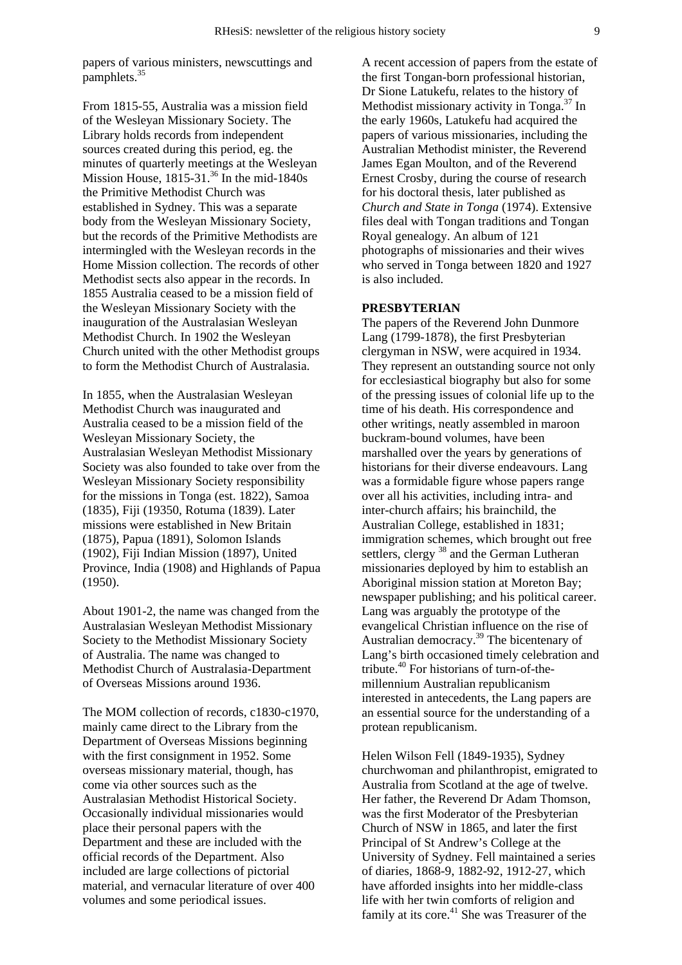papers of various ministers, newscuttings and pamphlets.<sup>35</sup>

From 1815-55, Australia was a mission field of the Wesleyan Missionary Society. The Library holds records from independent sources created during this period, eg. the minutes of quarterly meetings at the Wesleyan Mission House,  $1815-31$ .<sup>36</sup> In the mid-1840s the Primitive Methodist Church was established in Sydney. This was a separate body from the Wesleyan Missionary Society, but the records of the Primitive Methodists are intermingled with the Wesleyan records in the Home Mission collection. The records of other Methodist sects also appear in the records. In 1855 Australia ceased to be a mission field of the Wesleyan Missionary Society with the inauguration of the Australasian Wesleyan Methodist Church. In 1902 the Wesleyan Church united with the other Methodist groups to form the Methodist Church of Australasia.

In 1855, when the Australasian Wesleyan Methodist Church was inaugurated and Australia ceased to be a mission field of the Wesleyan Missionary Society, the Australasian Wesleyan Methodist Missionary Society was also founded to take over from the Wesleyan Missionary Society responsibility for the missions in Tonga (est. 1822), Samoa (1835), Fiji (19350, Rotuma (1839). Later missions were established in New Britain (1875), Papua (1891), Solomon Islands (1902), Fiji Indian Mission (1897), United Province, India (1908) and Highlands of Papua (1950).

About 1901-2, the name was changed from the Australasian Wesleyan Methodist Missionary Society to the Methodist Missionary Society of Australia. The name was changed to Methodist Church of Australasia-Department of Overseas Missions around 1936.

The MOM collection of records, c1830-c1970, mainly came direct to the Library from the Department of Overseas Missions beginning with the first consignment in 1952. Some overseas missionary material, though, has come via other sources such as the Australasian Methodist Historical Society. Occasionally individual missionaries would place their personal papers with the Department and these are included with the official records of the Department. Also included are large collections of pictorial material, and vernacular literature of over 400 volumes and some periodical issues.

A recent accession of papers from the estate of the first Tongan-born professional historian, Dr Sione Latukefu, relates to the history of Methodist missionary activity in Tonga. $37$  In the early 1960s, Latukefu had acquired the papers of various missionaries, including the Australian Methodist minister, the Reverend James Egan Moulton, and of the Reverend Ernest Crosby, during the course of research for his doctoral thesis, later published as *Church and State in Tonga* (1974). Extensive files deal with Tongan traditions and Tongan Royal genealogy. An album of 121 photographs of missionaries and their wives who served in Tonga between 1820 and 1927 is also included.

## **PRESBYTERIAN**

The papers of the Reverend John Dunmore Lang (1799-1878), the first Presbyterian clergyman in NSW, were acquired in 1934. They represent an outstanding source not only for ecclesiastical biography but also for some of the pressing issues of colonial life up to the time of his death. His correspondence and other writings, neatly assembled in maroon buckram-bound volumes, have been marshalled over the years by generations of historians for their diverse endeavours. Lang was a formidable figure whose papers range over all his activities, including intra- and inter-church affairs; his brainchild, the Australian College, established in 1831; immigration schemes, which brought out free settlers, clergy <sup>38</sup> and the German Lutheran missionaries deployed by him to establish an Aboriginal mission station at Moreton Bay; newspaper publishing; and his political career. Lang was arguably the prototype of the evangelical Christian influence on the rise of Australian democracy.<sup>39</sup> The bicentenary of Lang's birth occasioned timely celebration and tribute.40 For historians of turn-of-themillennium Australian republicanism interested in antecedents, the Lang papers are an essential source for the understanding of a protean republicanism.

Helen Wilson Fell (1849-1935), Sydney churchwoman and philanthropist, emigrated to Australia from Scotland at the age of twelve. Her father, the Reverend Dr Adam Thomson, was the first Moderator of the Presbyterian Church of NSW in 1865, and later the first Principal of St Andrew's College at the University of Sydney. Fell maintained a series of diaries, 1868-9, 1882-92, 1912-27, which have afforded insights into her middle-class life with her twin comforts of religion and family at its core.<sup>41</sup> She was Treasurer of the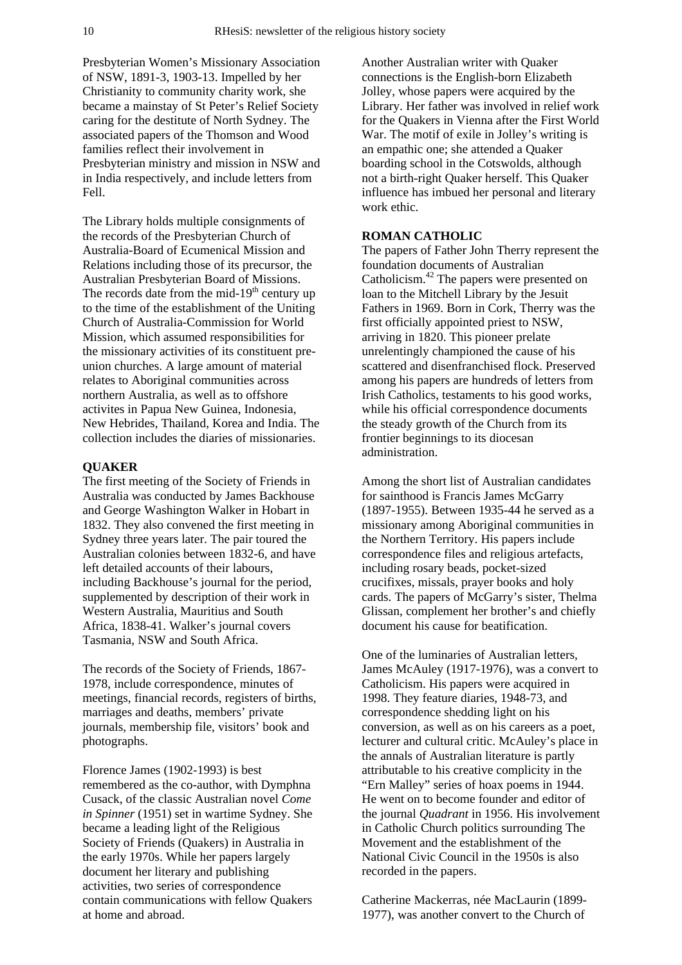Presbyterian Women's Missionary Association of NSW, 1891-3, 1903-13. Impelled by her Christianity to community charity work, she became a mainstay of St Peter's Relief Society caring for the destitute of North Sydney. The associated papers of the Thomson and Wood families reflect their involvement in Presbyterian ministry and mission in NSW and in India respectively, and include letters from Fell.

The Library holds multiple consignments of the records of the Presbyterian Church of Australia-Board of Ecumenical Mission and Relations including those of its precursor, the Australian Presbyterian Board of Missions. The records date from the mid- $19<sup>th</sup>$  century up to the time of the establishment of the Uniting Church of Australia-Commission for World Mission, which assumed responsibilities for the missionary activities of its constituent preunion churches. A large amount of material relates to Aboriginal communities across northern Australia, as well as to offshore activites in Papua New Guinea, Indonesia, New Hebrides, Thailand, Korea and India. The collection includes the diaries of missionaries.

#### **QUAKER**

The first meeting of the Society of Friends in Australia was conducted by James Backhouse and George Washington Walker in Hobart in 1832. They also convened the first meeting in Sydney three years later. The pair toured the Australian colonies between 1832-6, and have left detailed accounts of their labours, including Backhouse's journal for the period, supplemented by description of their work in Western Australia, Mauritius and South Africa, 1838-41. Walker's journal covers Tasmania, NSW and South Africa.

The records of the Society of Friends, 1867- 1978, include correspondence, minutes of meetings, financial records, registers of births, marriages and deaths, members' private journals, membership file, visitors' book and photographs.

Florence James (1902-1993) is best remembered as the co-author, with Dymphna Cusack, of the classic Australian novel *Come in Spinner* (1951) set in wartime Sydney. She became a leading light of the Religious Society of Friends (Quakers) in Australia in the early 1970s. While her papers largely document her literary and publishing activities, two series of correspondence contain communications with fellow Quakers at home and abroad.

Another Australian writer with Quaker connections is the English-born Elizabeth Jolley, whose papers were acquired by the Library. Her father was involved in relief work for the Quakers in Vienna after the First World War. The motif of exile in Jolley's writing is an empathic one; she attended a Quaker boarding school in the Cotswolds, although not a birth-right Quaker herself. This Quaker influence has imbued her personal and literary work ethic.

## **ROMAN CATHOLIC**

The papers of Father John Therry represent the foundation documents of Australian Catholicism.<sup>42</sup> The papers were presented on loan to the Mitchell Library by the Jesuit Fathers in 1969. Born in Cork, Therry was the first officially appointed priest to NSW, arriving in 1820. This pioneer prelate unrelentingly championed the cause of his scattered and disenfranchised flock. Preserved among his papers are hundreds of letters from Irish Catholics, testaments to his good works, while his official correspondence documents the steady growth of the Church from its frontier beginnings to its diocesan administration.

Among the short list of Australian candidates for sainthood is Francis James McGarry (1897-1955). Between 1935-44 he served as a missionary among Aboriginal communities in the Northern Territory. His papers include correspondence files and religious artefacts, including rosary beads, pocket-sized crucifixes, missals, prayer books and holy cards. The papers of McGarry's sister, Thelma Glissan, complement her brother's and chiefly document his cause for beatification.

One of the luminaries of Australian letters, James McAuley (1917-1976), was a convert to Catholicism. His papers were acquired in 1998. They feature diaries, 1948-73, and correspondence shedding light on his conversion, as well as on his careers as a poet, lecturer and cultural critic. McAuley's place in the annals of Australian literature is partly attributable to his creative complicity in the "Ern Malley" series of hoax poems in 1944. He went on to become founder and editor of the journal *Quadrant* in 1956. His involvement in Catholic Church politics surrounding The Movement and the establishment of the National Civic Council in the 1950s is also recorded in the papers.

Catherine Mackerras, née MacLaurin (1899- 1977), was another convert to the Church of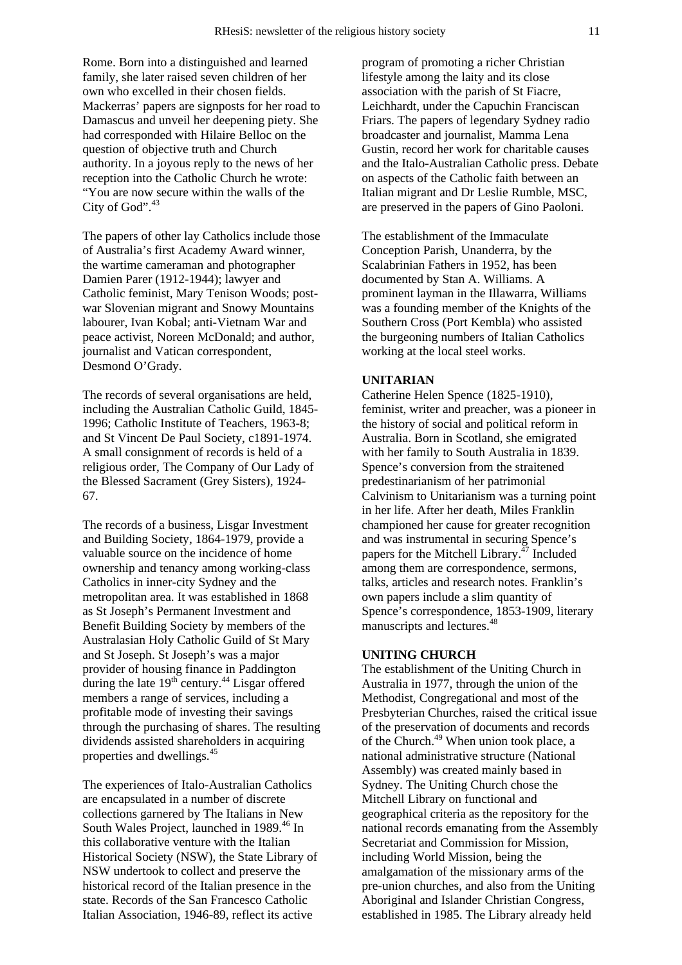Rome. Born into a distinguished and learned family, she later raised seven children of her own who excelled in their chosen fields. Mackerras' papers are signposts for her road to Damascus and unveil her deepening piety. She had corresponded with Hilaire Belloc on the question of objective truth and Church authority. In a joyous reply to the news of her reception into the Catholic Church he wrote: "You are now secure within the walls of the City of God".<sup>43</sup>

The papers of other lay Catholics include those of Australia's first Academy Award winner, the wartime cameraman and photographer Damien Parer (1912-1944); lawyer and Catholic feminist, Mary Tenison Woods; postwar Slovenian migrant and Snowy Mountains labourer, Ivan Kobal; anti-Vietnam War and peace activist, Noreen McDonald; and author, journalist and Vatican correspondent, Desmond O'Grady.

The records of several organisations are held, including the Australian Catholic Guild, 1845- 1996; Catholic Institute of Teachers, 1963-8; and St Vincent De Paul Society, c1891-1974. A small consignment of records is held of a religious order, The Company of Our Lady of the Blessed Sacrament (Grey Sisters), 1924- 67.

The records of a business, Lisgar Investment and Building Society, 1864-1979, provide a valuable source on the incidence of home ownership and tenancy among working-class Catholics in inner-city Sydney and the metropolitan area. It was established in 1868 as St Joseph's Permanent Investment and Benefit Building Society by members of the Australasian Holy Catholic Guild of St Mary and St Joseph. St Joseph's was a major provider of housing finance in Paddington during the late  $19^{th}$  century.<sup>44</sup> Lisgar offered members a range of services, including a profitable mode of investing their savings through the purchasing of shares. The resulting dividends assisted shareholders in acquiring properties and dwellings.<sup>45</sup>

The experiences of Italo-Australian Catholics are encapsulated in a number of discrete collections garnered by The Italians in New South Wales Project, launched in 1989.<sup>46</sup> In this collaborative venture with the Italian Historical Society (NSW), the State Library of NSW undertook to collect and preserve the historical record of the Italian presence in the state. Records of the San Francesco Catholic Italian Association, 1946-89, reflect its active

program of promoting a richer Christian lifestyle among the laity and its close association with the parish of St Fiacre, Leichhardt, under the Capuchin Franciscan Friars. The papers of legendary Sydney radio broadcaster and journalist, Mamma Lena Gustin, record her work for charitable causes and the Italo-Australian Catholic press. Debate on aspects of the Catholic faith between an Italian migrant and Dr Leslie Rumble, MSC, are preserved in the papers of Gino Paoloni.

The establishment of the Immaculate Conception Parish, Unanderra, by the Scalabrinian Fathers in 1952, has been documented by Stan A. Williams. A prominent layman in the Illawarra, Williams was a founding member of the Knights of the Southern Cross (Port Kembla) who assisted the burgeoning numbers of Italian Catholics working at the local steel works.

### **UNITARIAN**

Catherine Helen Spence (1825-1910), feminist, writer and preacher, was a pioneer in the history of social and political reform in Australia. Born in Scotland, she emigrated with her family to South Australia in 1839. Spence's conversion from the straitened predestinarianism of her patrimonial Calvinism to Unitarianism was a turning point in her life. After her death, Miles Franklin championed her cause for greater recognition and was instrumental in securing Spence's papers for the Mitchell Library.<sup>47</sup> Included among them are correspondence, sermons, talks, articles and research notes. Franklin's own papers include a slim quantity of Spence's correspondence, 1853-1909, literary manuscripts and lectures.<sup>48</sup>

#### **UNITING CHURCH**

The establishment of the Uniting Church in Australia in 1977, through the union of the Methodist, Congregational and most of the Presbyterian Churches, raised the critical issue of the preservation of documents and records of the Church.<sup>49</sup> When union took place, a national administrative structure (National Assembly) was created mainly based in Sydney. The Uniting Church chose the Mitchell Library on functional and geographical criteria as the repository for the national records emanating from the Assembly Secretariat and Commission for Mission, including World Mission, being the amalgamation of the missionary arms of the pre-union churches, and also from the Uniting Aboriginal and Islander Christian Congress, established in 1985. The Library already held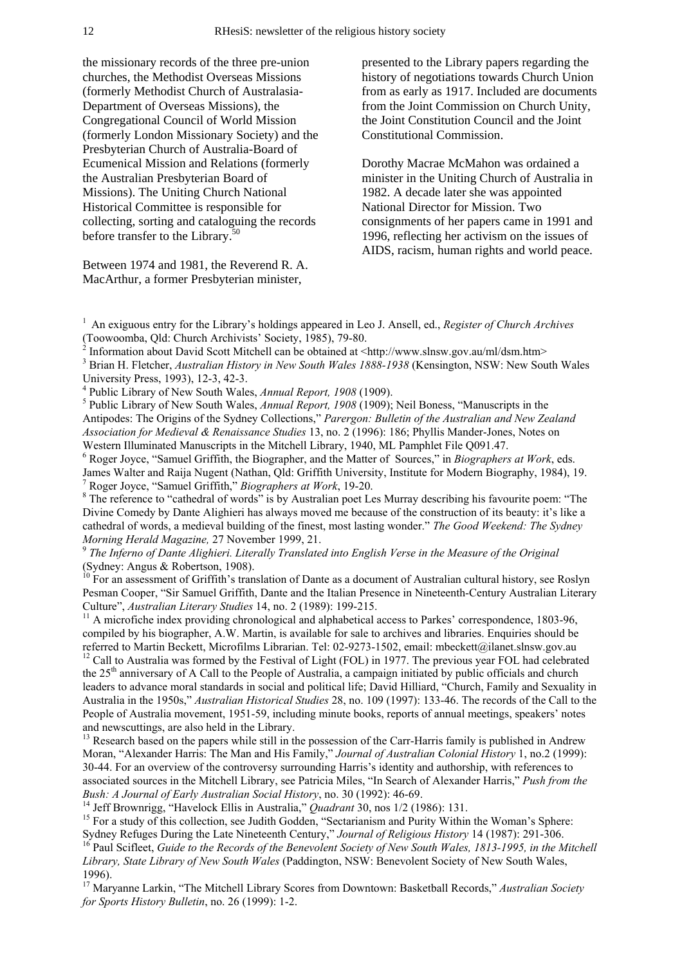the missionary records of the three pre-union churches, the Methodist Overseas Missions (formerly Methodist Church of Australasia-Department of Overseas Missions), the Congregational Council of World Mission (formerly London Missionary Society) and the Presbyterian Church of Australia-Board of Ecumenical Mission and Relations (formerly the Australian Presbyterian Board of Missions). The Uniting Church National Historical Committee is responsible for collecting, sorting and cataloguing the records before transfer to the Library.<sup>50</sup>

Between 1974 and 1981, the Reverend R. A. MacArthur, a former Presbyterian minister,

presented to the Library papers regarding the history of negotiations towards Church Union from as early as 1917. Included are documents from the Joint Commission on Church Unity, the Joint Constitution Council and the Joint Constitutional Commission.

Dorothy Macrae McMahon was ordained a minister in the Uniting Church of Australia in 1982. A decade later she was appointed National Director for Mission. Two consignments of her papers came in 1991 and 1996, reflecting her activism on the issues of AIDS, racism, human rights and world peace.

<sup>1</sup> An exiguous entry for the Library's holdings appeared in Leo J. Ansell, ed., *Register of Church Archives* (Toowoomba, Qld: Church Archivists' Society, 1985), 79-80. 2

Information about David Scott Mitchell can be obtained at <http://www.slnsw.gov.au/ml/dsm.htm> 3

<sup>4</sup> Public Library of New South Wales, *Annual Report, 1908* (1909).

<sup>5</sup> Public Library of New South Wales, *Annual Report, 1908* (1909); Neil Boness, "Manuscripts in the Antipodes: The Origins of the Sydney Collections," *Parergon: Bulletin of the Australian and New Zealand Association for Medieval & Renaissance Studies* 13, no. 2 (1996): 186; Phyllis Mander-Jones, Notes on Western Illuminated Manuscripts in the Mitchell Library, 1940, ML Pamphlet File Q091.47.

6 Roger Joyce, "Samuel Griffith, the Biographer, and the Matter of Sources," in *Biographers at Work*, eds. James Walter and Raija Nugent (Nathan, Qld: Griffith University, Institute for Modern Biography, 1984), 19. 7 Roger Joyce, "Samuel Griffith," *Biographers at Work*, 19-20.

<sup>8</sup> The reference to "cathedral of words" is by Australian poet Les Murray describing his favourite poem: "The Divine Comedy by Dante Alighieri has always moved me because of the construction of its beauty: it's like a cathedral of words, a medieval building of the finest, most lasting wonder." *The Good Weekend: The Sydney Morning Herald Magazine, 27 November 1999, 21. 9 <i>Phorning Herald Magazine, 27 November 1999, 21. 9 <i>The Inferno of Dante Alighieri. Literally Translated into English Verse in the Measure of the Original* 

(Sydney: Angus & Robertson, 1908).

<sup>10</sup> For an assessment of Griffith's translation of Dante as a document of Australian cultural history, see Roslyn Pesman Cooper, "Sir Samuel Griffith, Dante and the Italian Presence in Nineteenth-Century Australian Literary Culture", *Australian Literary Studies* 14, no. 2 (1989): 199-215.

 $11$  A microfiche index providing chronological and alphabetical access to Parkes' correspondence, 1803-96, compiled by his biographer, A.W. Martin, is available for sale to archives and libraries. Enquiries should be referred to Martin Beckett, Microfilms Librarian. Tel: 02-9273-1502, email: mbeckett@ilanet.slnsw.gov.au <sup>12</sup> Call to Australia was formed by the Festival of Light (FOL) in 1977. The previous year FOL had celebrated the 25th anniversary of A Call to the People of Australia, a campaign initiated by public officials and church leaders to advance moral standards in social and political life; David Hilliard, "Church, Family and Sexuality in Australia in the 1950s," *Australian Historical Studies* 28, no. 109 (1997): 133-46. The records of the Call to the People of Australia movement, 1951-59, including minute books, reports of annual meetings, speakers' notes and newscuttings, are also held in the Library.

<sup>13</sup> Research based on the papers while still in the possession of the Carr-Harris family is published in Andrew Moran, "Alexander Harris: The Man and His Family," *Journal of Australian Colonial History* 1, no.2 (1999): 30-44. For an overview of the controversy surrounding Harris's identity and authorship, with references to associated sources in the Mitchell Library, see Patricia Miles, "In Search of Alexander Harris," *Push from the* 

Bush: A Journal of Early Australian Social History, no. 30 (1992): 46-69.<br><sup>14</sup> Jeff Brownrigg, "Havelock Ellis in Australia," *Quadrant* 30, nos 1/2 (1986): 131.<br><sup>15</sup> For a study of this collection, see Judith Godden, "Sec

<sup>16</sup> Paul Scifleet, Guide to the Records of the Benevolent Society of New South Wales, 1813-1995, in the Mitchell *Library, State Library of New South Wales* (Paddington, NSW: Benevolent Society of New South Wales, 1996).

17 Maryanne Larkin, "The Mitchell Library Scores from Downtown: Basketball Records," *Australian Society for Sports History Bulletin*, no. 26 (1999): 1-2.

<sup>&</sup>lt;sup>3</sup> Brian H. Fletcher, *Australian History in New South Wales 1888-1938* (Kensington, NSW: New South Wales University Press, 1993), 12-3, 42-3.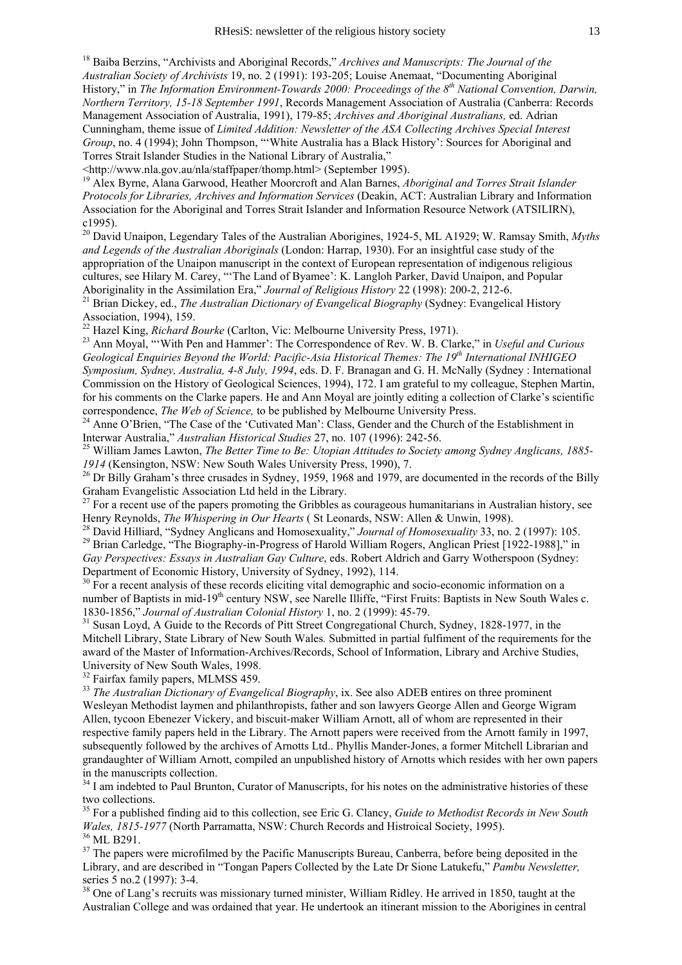18 Baiba Berzins, "Archivists and Aboriginal Records," *Archives and Manuscripts: The Journal of the Australian Society of Archivists* 19, no. 2 (1991): 193-205; Louise Anemaat, "Documenting Aboriginal History," in *The Information Environment-Towards 2000: Proceedings of the 8th National Convention, Darwin, Northern Territory, 15-18 September 1991*, Records Management Association of Australia (Canberra: Records Management Association of Australia, 1991), 179-85; *Archives and Aboriginal Australians,* ed. Adrian Cunningham, theme issue of *Limited Addition: Newsletter of the ASA Collecting Archives Special Interest Group*, no. 4 (1994); John Thompson, "'White Australia has a Black History': Sources for Aboriginal and Torres Strait Islander Studies in the National Library of Australia,"

<http://www.nla.gov.au/nla/staffpaper/thomp.html> (September 1995).

19 Alex Byrne, Alana Garwood, Heather Moorcroft and Alan Barnes, *Aboriginal and Torres Strait Islander Protocols for Libraries, Archives and Information Services* (Deakin, ACT: Australian Library and Information Association for the Aboriginal and Torres Strait Islander and Information Resource Network (ATSILIRN), c1995).

<sup>20</sup> David Unaipon, Legendary Tales of the Australian Aborigines, 1924-5, ML A1929; W. Ramsay Smith, *Myths and Legends of the Australian Aboriginals* (London: Harrap, 1930). For an insightful case study of the appropriation of the Unaipon manuscript in the context of European representation of indigenous religious cultures, see Hilary M. Carey, "'The Land of Byamee': K. Langloh Parker, David Unaipon, and Popular Aboriginality in the Assimilation Era," *Journal of Religious History* 22 (1998): 200-2, 212-6.

<sup>21</sup> Brian Dickey, ed., *The Australian Dictionary of Evangelical Biography* (Sydney: Evangelical History Association, 1994), 159.<br><sup>22</sup> Hazel King, *Richard Bourke* (Carlton, Vic: Melbourne University Press, 1971).

<sup>23</sup> Ann Moyal, "'With Pen and Hammer': The Correspondence of Rev. W. B. Clarke," in *Useful and Curious Geological Enquiries Beyond the World: Pacific-Asia Historical Themes: The 19th International INHIGEO Symposium, Sydney, Australia, 4-8 July, 1994*, eds. D. F. Branagan and G. H. McNally (Sydney : International Commission on the History of Geological Sciences, 1994), 172. I am grateful to my colleague, Stephen Martin, for his comments on the Clarke papers. He and Ann Moyal are jointly editing a collection of Clarke's scientific correspondence, *The Web of Science*, to be published by Melbourne University Press.

<sup>24</sup> Anne O'Brien, "The Case of the 'Cutivated Man': Class, Gender and the Church of the Establishment in Interwar Australia," *Australian Historical Studies* 27, no. 107 (1996): 242-56.

Interwar Australia," *Australian Historical Studies* 27, no. 107 (1996): 242-56. 25 William James Lawton, *The Better Time to Be: Utopian Attitudes to Society among Sydney Anglicans, 1885- 1914* (Kensington, NSW: New South Wales University Press, 1990), 7.<br><sup>26</sup> Dr Billy Graham's three crusades in Sydney, 1959, 1968 and 1979, are documented in the records of the Billy

Graham Evangelistic Association Ltd held in the Library.

<sup>27</sup> For a recent use of the papers promoting the Gribbles as courageous humanitarians in Australian history, see Henry Reynolds, *The Whispering in Our Hearts* (St Leonards, NSW: Allen & Unwin, 1998).

<sup>28</sup> David Hilliard, "Sydney Anglicans and Homosexuality," Journal of Homosexuality 33, no. 2 (1997): 105.<br><sup>29</sup> Brian Carledge, "The Biography-in-Progress of Harold William Rogers, Anglican Priest [1922-1988]," in *Gay Perspectives: Essays in Australian Gay Culture*, eds. Robert Aldrich and Garry Wotherspoon (Sydney: Department of Economic History, University of Sydney, 1992), 114.

<sup>30</sup> For a recent analysis of these records eliciting vital demographic and socio-economic information on a number of Baptists in mid-19<sup>th</sup> century NSW, see Narelle Illiffe, "First Fruits: Baptists in New South Wales c. 1830-1856," Journal of Australian Colonial History 1, no. 2 (1999): 45-79.

<sup>31</sup> Susan Loyd, A Guide to the Records of Pitt Street Congregational Church, Sydney, 1828-1977, in the Mitchell Library, State Library of New South Wales*.* Submitted in partial fulfiment of the requirements for the award of the Master of Information-Archives/Records, School of Information, Library and Archive Studies, University of New South Wales, 1998.

<sup>32</sup> Fairfax family papers, MLMSS 459.

<sup>33</sup> *The Australian Dictionary of Evangelical Biography*, ix. See also ADEB entires on three prominent Wesleyan Methodist laymen and philanthropists, father and son lawyers George Allen and George Wigram Allen, tycoon Ebenezer Vickery, and biscuit-maker William Arnott, all of whom are represented in their respective family papers held in the Library. The Arnott papers were received from the Arnott family in 1997, subsequently followed by the archives of Arnotts Ltd.. Phyllis Mander-Jones, a former Mitchell Librarian and grandaughter of William Arnott, compiled an unpublished history of Arnotts which resides with her own papers in the manuscripts collection.

<sup>34</sup> I am indebted to Paul Brunton, Curator of Manuscripts, for his notes on the administrative histories of these two collections.

35 For a published finding aid to this collection, see Eric G. Clancy, *Guide to Methodist Records in New South Wales, 1815-1977* (North Parramatta, NSW: Church Records and Histroical Society, 1995).<sup>36</sup> ML B291.

 $37$  The papers were microfilmed by the Pacific Manuscripts Bureau, Canberra, before being deposited in the Library, and are described in "Tongan Papers Collected by the Late Dr Sione Latukefu," *Pambu Newsletter,*  series 5 no.2 (1997): 3-4.

<sup>38</sup> One of Lang's recruits was missionary turned minister, William Ridley. He arrived in 1850, taught at the Australian College and was ordained that year. He undertook an itinerant mission to the Aborigines in central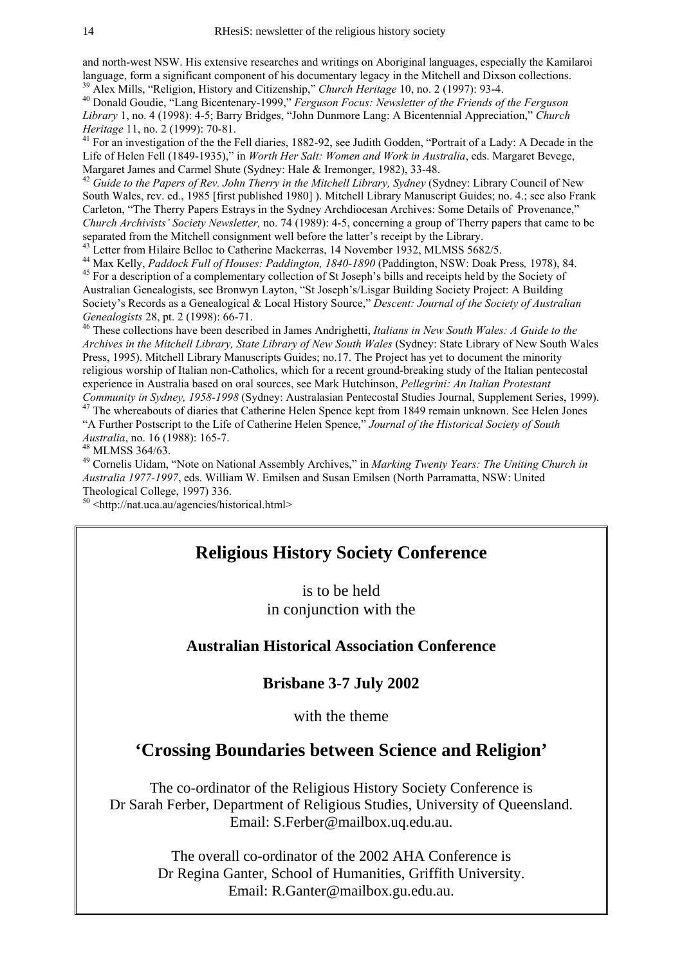and north-west NSW. His extensive researches and writings on Aboriginal languages, especially the Kamilaroi language, form a significant component of his documentary legacy in the Mitchell and Dixson collections.

<sup>39</sup> Alex Mills, "Religion, History and Citizenship," *Church Heritage* 10, no. 2 (1997): 93-4.<br><sup>40</sup> Donald Goudie, "Lang Bicentenary-1999," *Ferguson Focus: Newsletter of the Friends of the Ferguson Library* 1, no. 4 (1998): 4-5; Barry Bridges, "John Dunmore Lang: A Bicentennial Appreciation," *Church* 

*Heritage* 11, no. 2 (1999): 70-81.<br><sup>41</sup> For an investigation of the the Fell diaries, 1882-92, see Judith Godden, "Portrait of a Lady: A Decade in the Life of Helen Fell (1849-1935)," in *Worth Her Salt: Women and Work in Australia*, eds. Margaret Bevege, Margaret James and Carmel Shute (Sydney: Hale & Iremonger, 1982), 33-48.

<sup>42</sup> Guide to the Papers of Rev. John Therry in the Mitchell Library, Sydney (Sydney: Library Council of New South Wales, rev. ed., 1985 [first published 1980] ). Mitchell Library Manuscript Guides; no. 4.; see also Frank Carleton, "The Therry Papers Estrays in the Sydney Archdiocesan Archives: Some Details of Provenance," *Church Archivists' Society Newsletter,* no. 74 (1989): 4-5, concerning a group of Therry papers that came to be separated from the Mitchell consignment well before the latter's receipt by the Library.<br><sup>43</sup> Letter from Hilaire Belloc to Catherine Mackerras, 14 November 1932, MLMSS 5682/5.

<sup>44</sup> Max Kelly, *Paddock Full of Houses: Paddington, 1840-1890* (Paddington, NSW: Doak Press, 1978), 84. <sup>45</sup> For a description of a complementary collection of St Joseph's bills and receipts held by the Society of

Australian Genealogists, see Bronwyn Layton, "St Joseph's/Lisgar Building Society Project: A Building Society's Records as a Genealogical & Local History Source," *Descent: Journal of the Society of Australian Genealogists* 28, pt. 2 (1998): 66-71.<br><sup>46</sup> These collections have been described in James Andrighetti, *Italians in New South Wales: A Guide to the* 

*Archives in the Mitchell Library, State Library of New South Wales* (Sydney: State Library of New South Wales Press, 1995). Mitchell Library Manuscripts Guides; no.17. The Project has yet to document the minority religious worship of Italian non-Catholics, which for a recent ground-breaking study of the Italian pentecostal experience in Australia based on oral sources, see Mark Hutchinson, *Pellegrini: An Italian Protestant* 

<sup>47</sup> The whereabouts of diaries that Catherine Helen Spence kept from 1849 remain unknown. See Helen Jones "A Further Postscript to the Life of Catherine Helen Spence," *Journal of the Historical Society of South Australia*, no. 16 (1988): 165-7. 48 MLMSS 364/63.

49 Cornelis Uidam, "Note on National Assembly Archives," in *Marking Twenty Years: The Uniting Church in Australia 1977-1997*, eds. William W. Emilsen and Susan Emilsen (North Parramatta, NSW: United Theological College, 1997) 336.

50 <http://nat.uca.au/agencies/historical.html>

# **Religious History Society Conference**

is to be held in conjunction with the

# **Australian Historical Association Conference**

## **Brisbane 3-7 July 2002**

with the theme

# **'Crossing Boundaries between Science and Religion'**

The co-ordinator of the Religious History Society Conference is Dr Sarah Ferber, Department of Religious Studies, University of Queensland. Email: S.Ferber@mailbox.uq.edu.au.

> The overall co-ordinator of the 2002 AHA Conference is Dr Regina Ganter, School of Humanities, Griffith University. Email: R.Ganter@mailbox.gu.edu.au.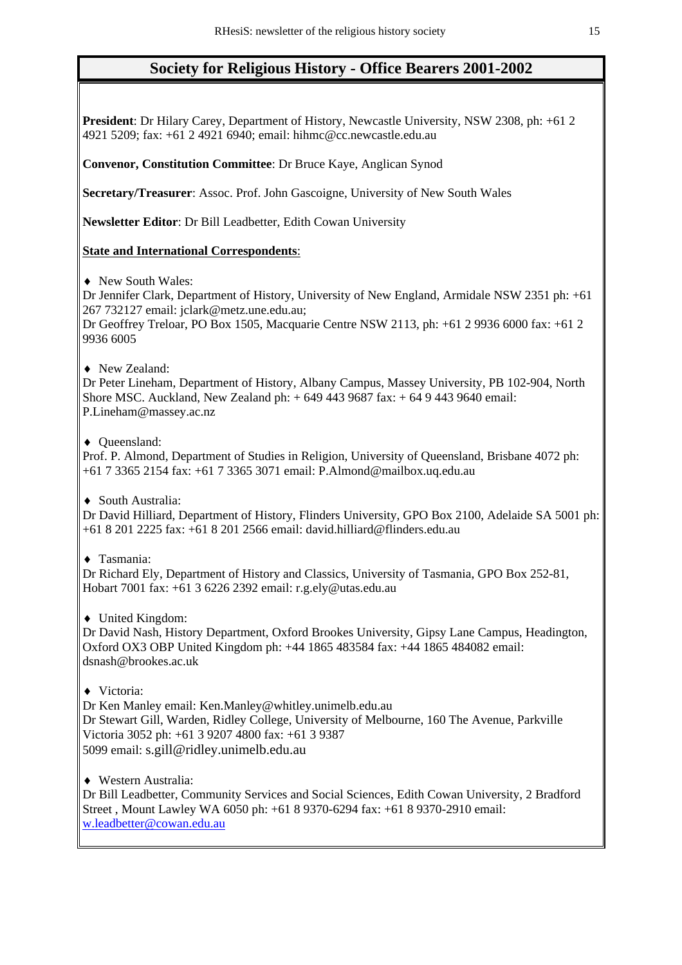# **Society for Religious History - Office Bearers 2001-2002**

**President**: Dr Hilary Carey, Department of History, Newcastle University, NSW 2308, ph: +61 2 4921 5209; fax: +61 2 4921 6940; email: hihmc@cc.newcastle.edu.au

**Convenor, Constitution Committee**: Dr Bruce Kaye, Anglican Synod

**Secretary/Treasurer**: Assoc. Prof. John Gascoigne, University of New South Wales

**Newsletter Editor**: Dr Bill Leadbetter, Edith Cowan University

## **State and International Correspondents**:

♦ New South Wales:

Dr Jennifer Clark, Department of History, University of New England, Armidale NSW 2351 ph: +61 267 732127 email: jclark@metz.une.edu.au;

Dr Geoffrey Treloar, PO Box 1505, Macquarie Centre NSW 2113, ph: +61 2 9936 6000 fax: +61 2 9936 6005

♦ New Zealand:

Dr Peter Lineham, Department of History, Albany Campus, Massey University, PB 102-904, North Shore MSC. Auckland, New Zealand ph: + 649 443 9687 fax: + 64 9 443 9640 email: P.Lineham@massey.ac.nz

♦ Queensland:

Prof. P. Almond, Department of Studies in Religion, University of Queensland, Brisbane 4072 ph: +61 7 3365 2154 fax: +61 7 3365 3071 email: P.Almond@mailbox.uq.edu.au

♦ South Australia:

Dr David Hilliard, Department of History, Flinders University, GPO Box 2100, Adelaide SA 5001 ph: +61 8 201 2225 fax: +61 8 201 2566 email: david.hilliard@flinders.edu.au

♦ Tasmania:

Dr Richard Ely, Department of History and Classics, University of Tasmania, GPO Box 252-81, Hobart 7001 fax: +61 3 6226 2392 email: r.g.ely@utas.edu.au

♦ United Kingdom:

Dr David Nash, History Department, Oxford Brookes University, Gipsy Lane Campus, Headington, Oxford OX3 OBP United Kingdom ph: +44 1865 483584 fax: +44 1865 484082 email: dsnash@brookes.ac.uk

♦ Victoria:

Dr Ken Manley email: Ken.Manley@whitley.unimelb.edu.au Dr Stewart Gill, Warden, Ridley College, University of Melbourne, 160 The Avenue, Parkville Victoria 3052 ph: +61 3 9207 4800 fax: +61 3 9387 5099 email: s.gill@ridley.unimelb.edu.au

♦ Western Australia:

Dr Bill Leadbetter, Community Services and Social Sciences, Edith Cowan University, 2 Bradford Street , Mount Lawley WA 6050 ph: +61 8 9370-6294 fax: +61 8 9370-2910 email: w.leadbetter@cowan.edu.au